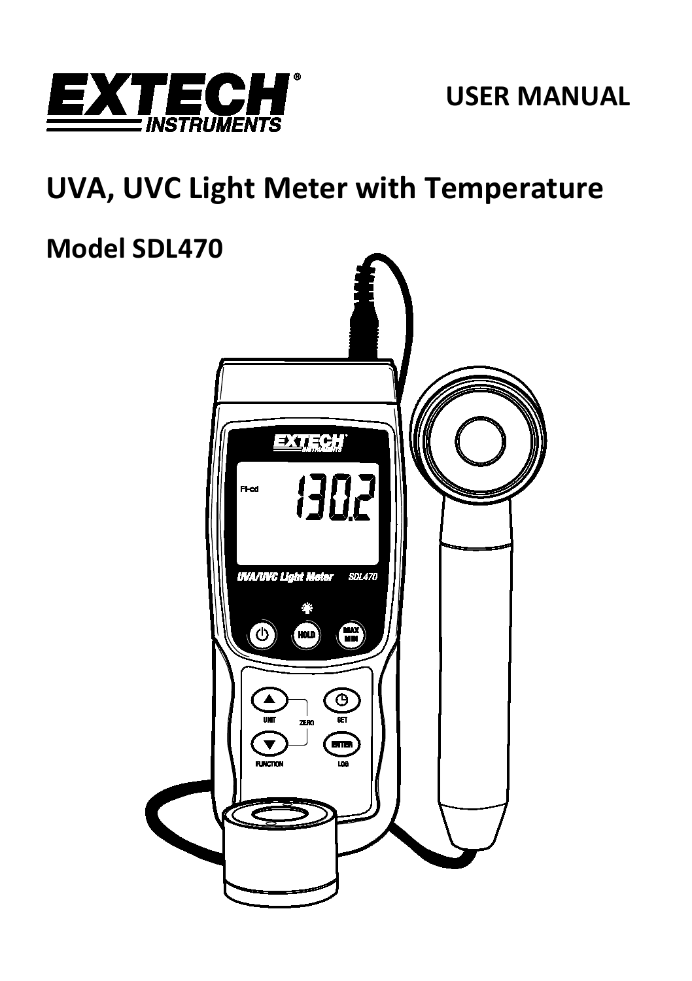

## **USER MANUAL**

# **UVA, UVC Light Meter with Temperature**

# **Model SDL470**

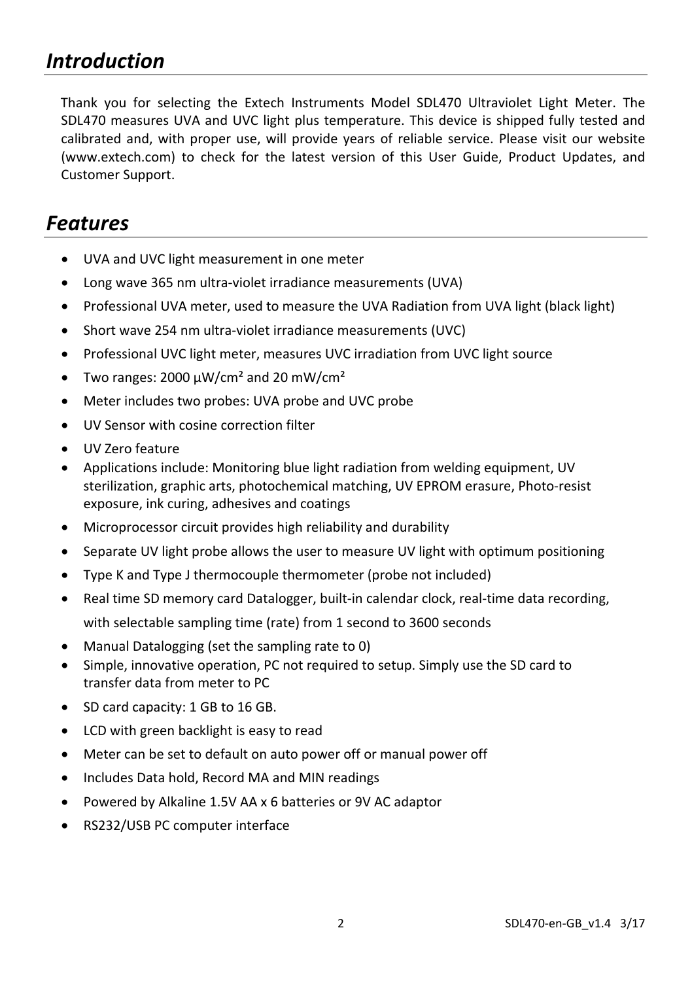## *Introduction*

Thank you for selecting the Extech Instruments Model SDL470 Ultraviolet Light Meter. The SDL470 measures UVA and UVC light plus temperature. This device is shipped fully tested and calibrated and, with proper use, will provide years of reliable service. Please visit our website [\(www.extech.com\)](http://www.extech.com/) to check for the latest version of this User Guide, Product Updates, and Customer Support.

## *Features*

- UVA and UVC light measurement in one meter
- Long wave 365 nm ultra-violet irradiance measurements (UVA)
- Professional UVA meter, used to measure the UVA Radiation from UVA light (black light)
- Short wave 254 nm ultra-violet irradiance measurements (UVC)
- Professional UVC light meter, measures UVC irradiation from UVC light source
- Two ranges: 2000 uW/cm<sup>2</sup> and 20 mW/cm<sup>2</sup>
- Meter includes two probes: UVA probe and UVC probe
- UV Sensor with cosine correction filter
- UV Zero feature
- Applications include: Monitoring blue light radiation from welding equipment, UV sterilization, graphic arts, photochemical matching, UV EPROM erasure, Photo-resist exposure, ink curing, adhesives and coatings
- Microprocessor circuit provides high reliability and durability
- Separate UV light probe allows the user to measure UV light with optimum positioning
- Type K and Type J thermocouple thermometer (probe not included)
- Real time SD memory card Datalogger, built-in calendar clock, real-time data recording, with selectable sampling time (rate) from 1 second to 3600 seconds
- Manual Datalogging (set the sampling rate to 0)
- Simple, innovative operation, PC not required to setup. Simply use the SD card to transfer data from meter to PC
- SD card capacity: 1 GB to 16 GB.
- LCD with green backlight is easy to read
- Meter can be set to default on auto power off or manual power off
- Includes Data hold, Record MA and MIN readings
- Powered by Alkaline 1.5V AA x 6 batteries or 9V AC adaptor
- RS232/USB PC computer interface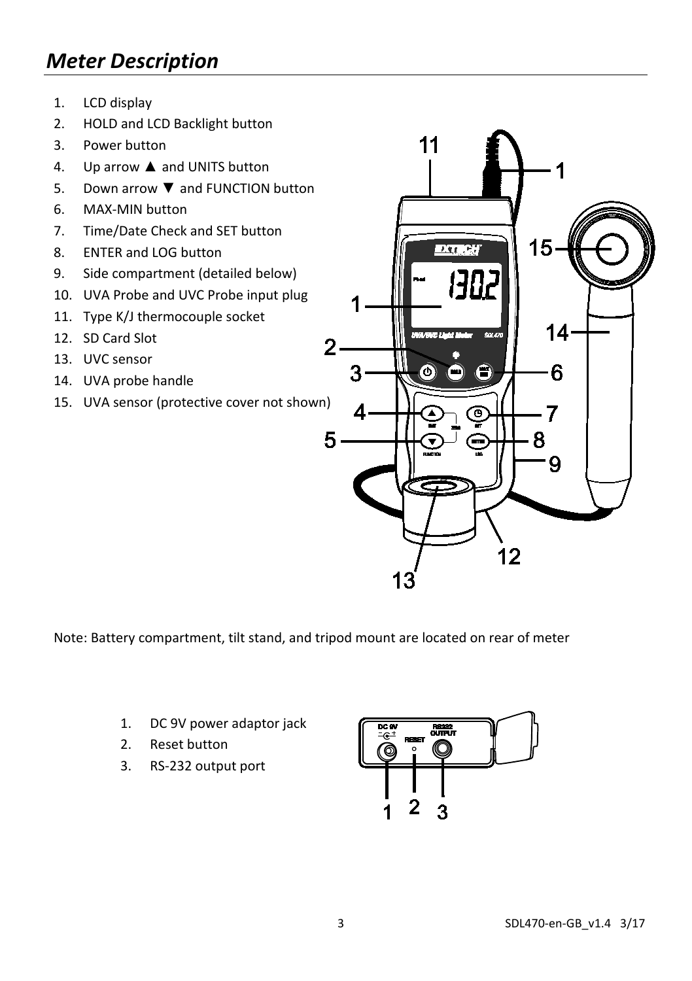## *Meter Description*

- 1. LCD display
- 2. HOLD and LCD Backlight button
- 3. Power button
- 4. Up arrow ▲ and UNITS button
- 5. Down arrow ▼ and FUNCTION button
- 6. MAX-MIN button
- 7. Time/Date Check and SET button
- 8. ENTER and LOG button
- 9. Side compartment (detailed below)
- 10. UVA Probe and UVC Probe input plug
- 11. Type K/J thermocouple socket
- 12. SD Card Slot
- 13. UVC sensor
- 14. UVA probe handle
- 15. UVA sensor (protective cover not shown)



Note: Battery compartment, tilt stand, and tripod mount are located on rear of meter

- 1. DC 9V power adaptor jack
- 2. Reset button
- 3. RS-232 output port

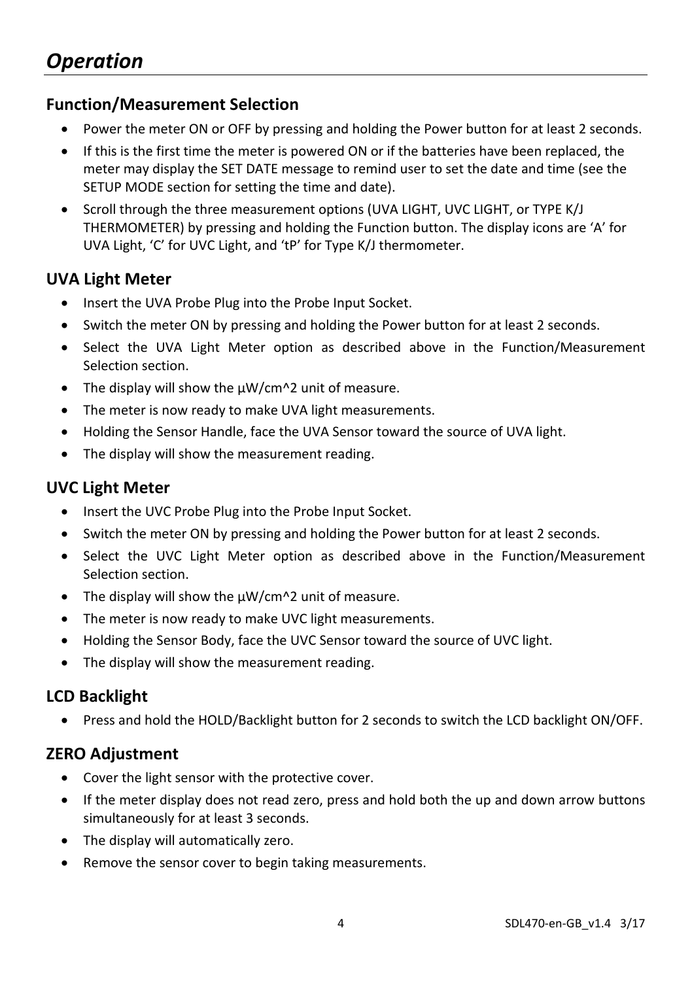#### **Function/Measurement Selection**

- Power the meter ON or OFF by pressing and holding the Power button for at least 2 seconds.
- If this is the first time the meter is powered ON or if the batteries have been replaced, the meter may display the SET DATE message to remind user to set the date and time (see the SETUP MODE section for setting the time and date).
- Scroll through the three measurement options (UVA LIGHT, UVC LIGHT, or TYPE K/J THERMOMETER) by pressing and holding the Function button. The display icons are 'A' for UVA Light, 'C' for UVC Light, and 'tP' for Type K/J thermometer.

#### **UVA Light Meter**

- Insert the UVA Probe Plug into the Probe Input Socket.
- Switch the meter ON by pressing and holding the Power button for at least 2 seconds.
- Select the UVA Light Meter option as described above in the Function/Measurement Selection section.
- The display will show the uW/cm<sup>1</sup>2 unit of measure.
- The meter is now ready to make UVA light measurements.
- Holding the Sensor Handle, face the UVA Sensor toward the source of UVA light.
- The display will show the measurement reading.

#### **UVC Light Meter**

- Insert the UVC Probe Plug into the Probe Input Socket.
- Switch the meter ON by pressing and holding the Power button for at least 2 seconds.
- Select the UVC Light Meter option as described above in the Function/Measurement Selection section.
- The display will show the  $\mu$ W/cm^2 unit of measure.
- The meter is now ready to make UVC light measurements.
- Holding the Sensor Body, face the UVC Sensor toward the source of UVC light.
- The display will show the measurement reading.

#### **LCD Backlight**

• Press and hold the HOLD/Backlight button for 2 seconds to switch the LCD backlight ON/OFF.

#### **ZERO Adjustment**

- Cover the light sensor with the protective cover.
- If the meter display does not read zero, press and hold both the up and down arrow buttons simultaneously for at least 3 seconds.
- The display will automatically zero.
- Remove the sensor cover to begin taking measurements.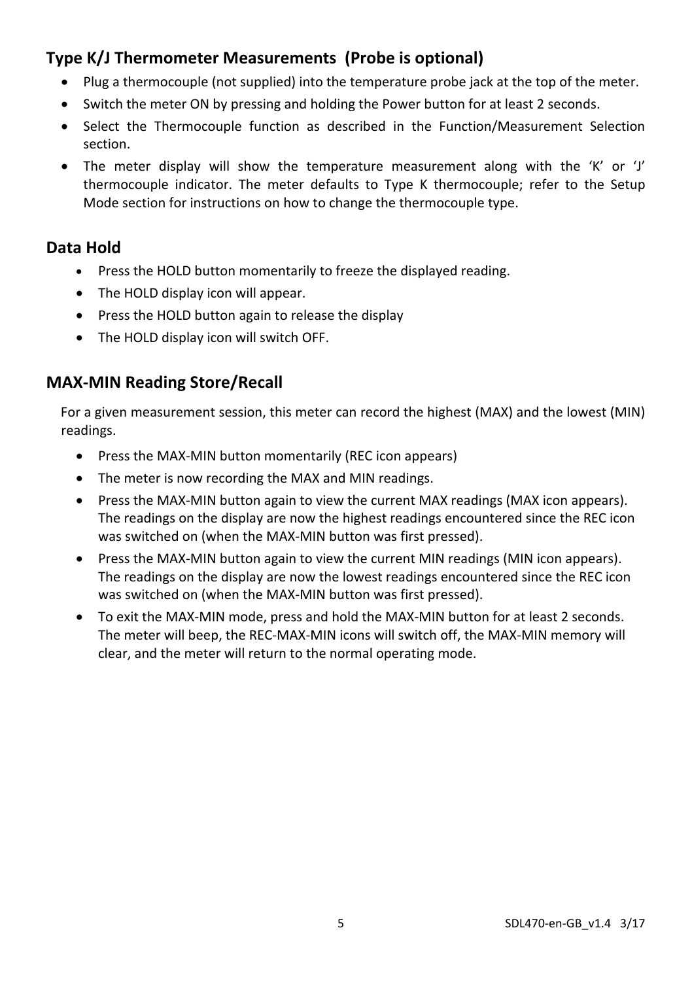## **Type K/J Thermometer Measurements (Probe is optional)**

- Plug a thermocouple (not supplied) into the temperature probe jack at the top of the meter.
- Switch the meter ON by pressing and holding the Power button for at least 2 seconds.
- Select the Thermocouple function as described in the Function/Measurement Selection section.
- The meter display will show the temperature measurement along with the 'K' or 'J' thermocouple indicator. The meter defaults to Type K thermocouple; refer to the Setup Mode section for instructions on how to change the thermocouple type.

#### **Data Hold**

- Press the HOLD button momentarily to freeze the displayed reading.
- The HOLD display icon will appear.
- Press the HOLD button again to release the display
- The HOLD display icon will switch OFF.

#### **MAX-MIN Reading Store/Recall**

For a given measurement session, this meter can record the highest (MAX) and the lowest (MIN) readings.

- Press the MAX-MIN button momentarily (REC icon appears)
- The meter is now recording the MAX and MIN readings.
- Press the MAX-MIN button again to view the current MAX readings (MAX icon appears). The readings on the display are now the highest readings encountered since the REC icon was switched on (when the MAX-MIN button was first pressed).
- Press the MAX-MIN button again to view the current MIN readings (MIN icon appears). The readings on the display are now the lowest readings encountered since the REC icon was switched on (when the MAX-MIN button was first pressed).
- To exit the MAX-MIN mode, press and hold the MAX-MIN button for at least 2 seconds. The meter will beep, the REC-MAX-MIN icons will switch off, the MAX-MIN memory will clear, and the meter will return to the normal operating mode.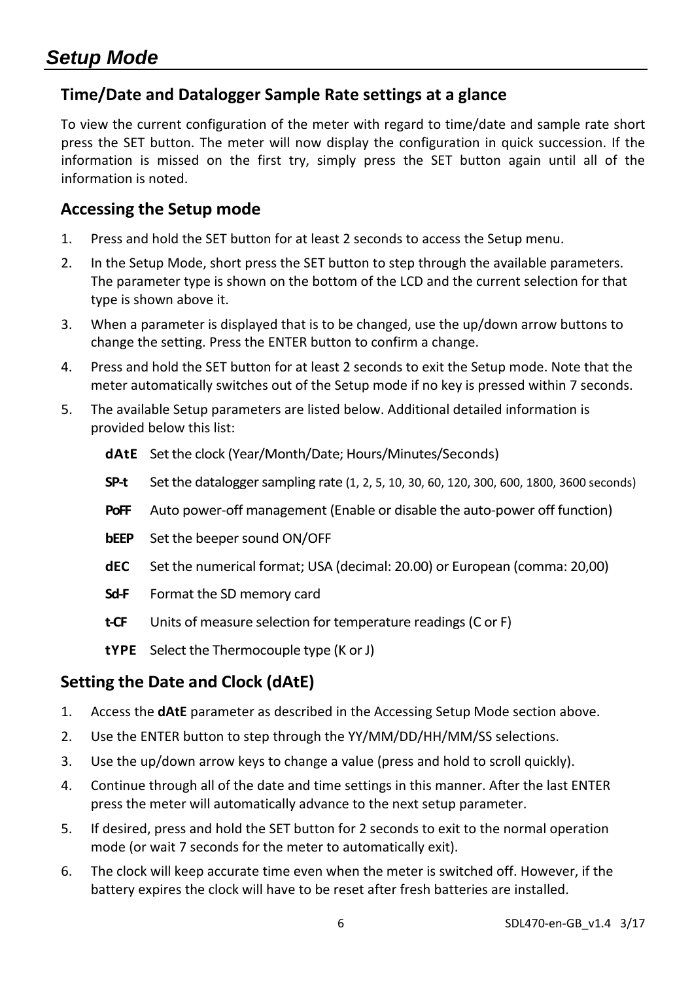#### **Time/Date and Datalogger Sample Rate settings at a glance**

To view the current configuration of the meter with regard to time/date and sample rate short press the SET button. The meter will now display the configuration in quick succession. If the information is missed on the first try, simply press the SET button again until all of the information is noted.

#### **Accessing the Setup mode**

- 1. Press and hold the SET button for at least 2 seconds to access the Setup menu.
- 2. In the Setup Mode, short press the SET button to step through the available parameters. The parameter type is shown on the bottom of the LCD and the current selection for that type is shown above it.
- 3. When a parameter is displayed that is to be changed, use the up/down arrow buttons to change the setting. Press the ENTER button to confirm a change.
- 4. Press and hold the SET button for at least 2 seconds to exit the Setup mode. Note that the meter automatically switches out of the Setup mode if no key is pressed within 7 seconds.
- 5. The available Setup parameters are listed below. Additional detailed information is provided below this list:
	- **dAtE** Set the clock (Year/Month/Date; Hours/Minutes/Seconds)
	- **SP-t** Set the datalogger sampling rate (1, 2, 5, 10, 30, 60, 120, 300, 600, 1800, 3600 seconds)
	- **PoFF** Auto power-off management (Enable or disable the auto-power off function)
	- **bEEP** Set the beeper sound ON/OFF
	- **dEC** Set the numerical format; USA (decimal: 20.00) or European (comma: 20,00)
	- **Sd-F** Format the SD memory card
	- **t-CF** Units of measure selection for temperature readings (C or F)
	- **tYPE** Select the Thermocouple type (K or J)

#### **Setting the Date and Clock (dAtE)**

- 1. Access the **dAtE** parameter as described in the Accessing Setup Mode section above.
- 2. Use the ENTER button to step through the YY/MM/DD/HH/MM/SS selections.
- 3. Use the up/down arrow keys to change a value (press and hold to scroll quickly).
- 4. Continue through all of the date and time settings in this manner. After the last ENTER press the meter will automatically advance to the next setup parameter.
- 5. If desired, press and hold the SET button for 2 seconds to exit to the normal operation mode (or wait 7 seconds for the meter to automatically exit).
- 6. The clock will keep accurate time even when the meter is switched off. However, if the battery expires the clock will have to be reset after fresh batteries are installed.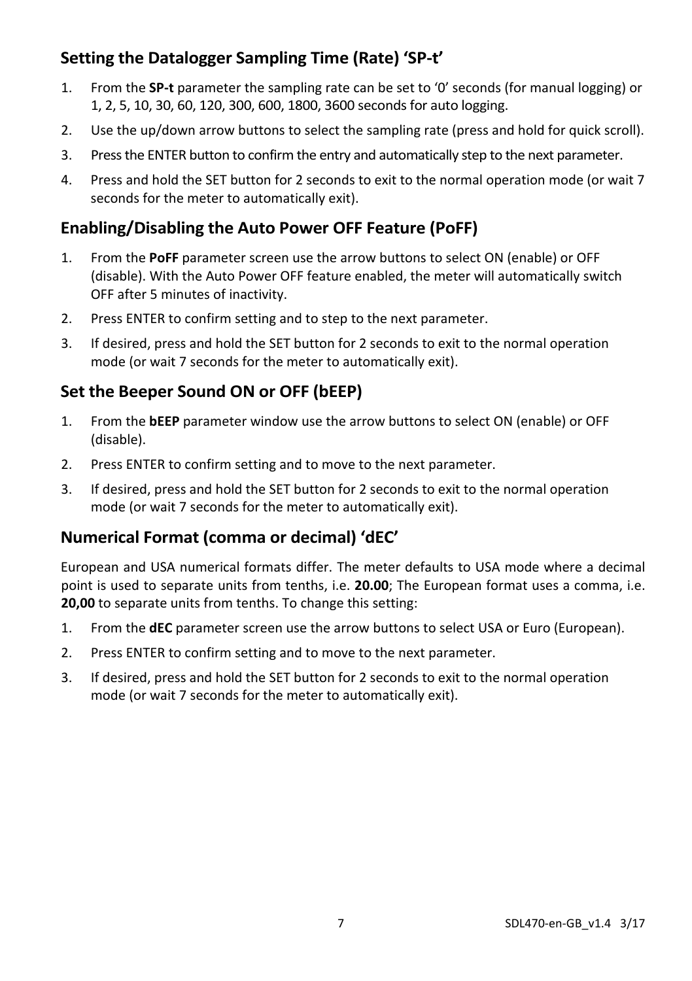## **Setting the Datalogger Sampling Time (Rate) 'SP-t'**

- 1. From the **SP-t** parameter the sampling rate can be set to '0' seconds (for manual logging) or 1, 2, 5, 10, 30, 60, 120, 300, 600, 1800, 3600 seconds for auto logging.
- 2. Use the up/down arrow buttons to select the sampling rate (press and hold for quick scroll).
- 3. Press the ENTER button to confirm the entry and automatically step to the next parameter.
- 4. Press and hold the SET button for 2 seconds to exit to the normal operation mode (or wait 7 seconds for the meter to automatically exit).

### **Enabling/Disabling the Auto Power OFF Feature (PoFF)**

- 1. From the **PoFF** parameter screen use the arrow buttons to select ON (enable) or OFF (disable). With the Auto Power OFF feature enabled, the meter will automatically switch OFF after 5 minutes of inactivity.
- 2. Press ENTER to confirm setting and to step to the next parameter.
- 3. If desired, press and hold the SET button for 2 seconds to exit to the normal operation mode (or wait 7 seconds for the meter to automatically exit).

## **Set the Beeper Sound ON or OFF (bEEP)**

- 1. From the **bEEP** parameter window use the arrow buttons to select ON (enable) or OFF (disable).
- 2. Press ENTER to confirm setting and to move to the next parameter.
- 3. If desired, press and hold the SET button for 2 seconds to exit to the normal operation mode (or wait 7 seconds for the meter to automatically exit).

### **Numerical Format (comma or decimal) 'dEC'**

European and USA numerical formats differ. The meter defaults to USA mode where a decimal point is used to separate units from tenths, i.e. **20.00**; The European format uses a comma, i.e. **20,00** to separate units from tenths. To change this setting:

- 1. From the **dEC** parameter screen use the arrow buttons to select USA or Euro (European).
- 2. Press ENTER to confirm setting and to move to the next parameter.
- 3. If desired, press and hold the SET button for 2 seconds to exit to the normal operation mode (or wait 7 seconds for the meter to automatically exit).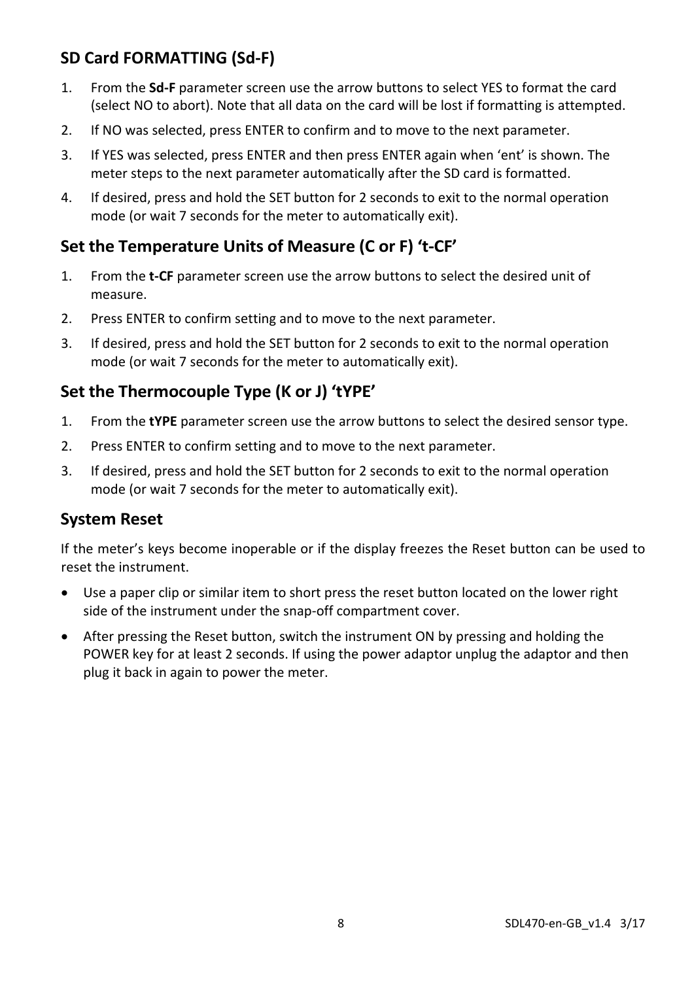## **SD Card FORMATTING (Sd-F)**

- 1. From the **Sd-F** parameter screen use the arrow buttons to select YES to format the card (select NO to abort). Note that all data on the card will be lost if formatting is attempted.
- 2. If NO was selected, press ENTER to confirm and to move to the next parameter.
- 3. If YES was selected, press ENTER and then press ENTER again when 'ent' is shown. The meter steps to the next parameter automatically after the SD card is formatted.
- 4. If desired, press and hold the SET button for 2 seconds to exit to the normal operation mode (or wait 7 seconds for the meter to automatically exit).

### **Set the Temperature Units of Measure (C or F) 't-CF'**

- 1. From the **t-CF** parameter screen use the arrow buttons to select the desired unit of measure.
- 2. Press ENTER to confirm setting and to move to the next parameter.
- 3. If desired, press and hold the SET button for 2 seconds to exit to the normal operation mode (or wait 7 seconds for the meter to automatically exit).

## **Set the Thermocouple Type (K or J) 'tYPE'**

- 1. From the **tYPE** parameter screen use the arrow buttons to select the desired sensor type.
- 2. Press ENTER to confirm setting and to move to the next parameter.
- 3. If desired, press and hold the SET button for 2 seconds to exit to the normal operation mode (or wait 7 seconds for the meter to automatically exit).

#### **System Reset**

If the meter's keys become inoperable or if the display freezes the Reset button can be used to reset the instrument.

- Use a paper clip or similar item to short press the reset button located on the lower right side of the instrument under the snap-off compartment cover.
- After pressing the Reset button, switch the instrument ON by pressing and holding the POWER key for at least 2 seconds. If using the power adaptor unplug the adaptor and then plug it back in again to power the meter.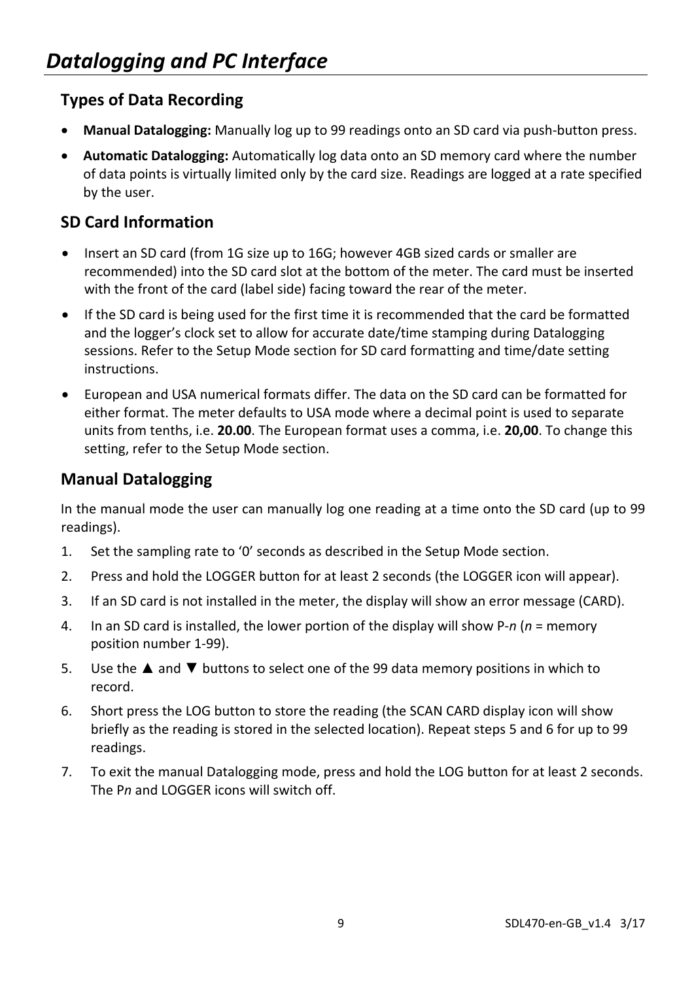## **Types of Data Recording**

- **Manual Datalogging:** Manually log up to 99 readings onto an SD card via push-button press.
- **Automatic Datalogging:** Automatically log data onto an SD memory card where the number of data points is virtually limited only by the card size. Readings are logged at a rate specified by the user.

## **SD Card Information**

- Insert an SD card (from 1G size up to 16G; however 4GB sized cards or smaller are recommended) into the SD card slot at the bottom of the meter. The card must be inserted with the front of the card (label side) facing toward the rear of the meter.
- If the SD card is being used for the first time it is recommended that the card be formatted and the logger's clock set to allow for accurate date/time stamping during Datalogging sessions. Refer to the Setup Mode section for SD card formatting and time/date setting instructions.
- European and USA numerical formats differ. The data on the SD card can be formatted for either format. The meter defaults to USA mode where a decimal point is used to separate units from tenths, i.e. **20.00**. The European format uses a comma, i.e. **20,00**. To change this setting, refer to the Setup Mode section.

### **Manual Datalogging**

In the manual mode the user can manually log one reading at a time onto the SD card (up to 99 readings).

- 1. Set the sampling rate to '0' seconds as described in the Setup Mode section.
- 2. Press and hold the LOGGER button for at least 2 seconds (the LOGGER icon will appear).
- 3. If an SD card is not installed in the meter, the display will show an error message (CARD).
- 4. In an SD card is installed, the lower portion of the display will show P-*n* (*n* = memory position number 1-99).
- 5. Use the ▲ and ▼ buttons to select one of the 99 data memory positions in which to record.
- 6. Short press the LOG button to store the reading (the SCAN CARD display icon will show briefly as the reading is stored in the selected location). Repeat steps 5 and 6 for up to 99 readings.
- 7. To exit the manual Datalogging mode, press and hold the LOG button for at least 2 seconds. The P*n* and LOGGER icons will switch off.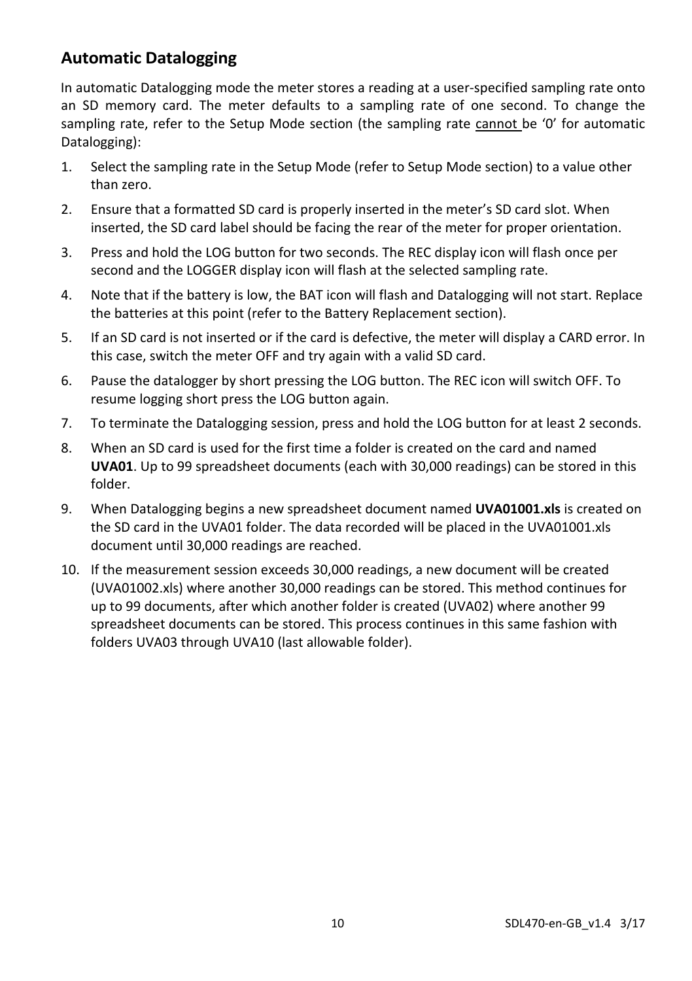#### **Automatic Datalogging**

In automatic Datalogging mode the meter stores a reading at a user-specified sampling rate onto an SD memory card. The meter defaults to a sampling rate of one second. To change the sampling rate, refer to the Setup Mode section (the sampling rate cannot be '0' for automatic Datalogging):

- 1. Select the sampling rate in the Setup Mode (refer to Setup Mode section) to a value other than zero.
- 2. Ensure that a formatted SD card is properly inserted in the meter's SD card slot. When inserted, the SD card label should be facing the rear of the meter for proper orientation.
- 3. Press and hold the LOG button for two seconds. The REC display icon will flash once per second and the LOGGER display icon will flash at the selected sampling rate.
- 4. Note that if the battery is low, the BAT icon will flash and Datalogging will not start. Replace the batteries at this point (refer to the Battery Replacement section).
- 5. If an SD card is not inserted or if the card is defective, the meter will display a CARD error. In this case, switch the meter OFF and try again with a valid SD card.
- 6. Pause the datalogger by short pressing the LOG button. The REC icon will switch OFF. To resume logging short press the LOG button again.
- 7. To terminate the Datalogging session, press and hold the LOG button for at least 2 seconds.
- 8. When an SD card is used for the first time a folder is created on the card and named **UVA01**. Up to 99 spreadsheet documents (each with 30,000 readings) can be stored in this folder.
- 9. When Datalogging begins a new spreadsheet document named **UVA01001.xls** is created on the SD card in the UVA01 folder. The data recorded will be placed in the UVA01001.xls document until 30,000 readings are reached.
- 10. If the measurement session exceeds 30,000 readings, a new document will be created (UVA01002.xls) where another 30,000 readings can be stored. This method continues for up to 99 documents, after which another folder is created (UVA02) where another 99 spreadsheet documents can be stored. This process continues in this same fashion with folders UVA03 through UVA10 (last allowable folder).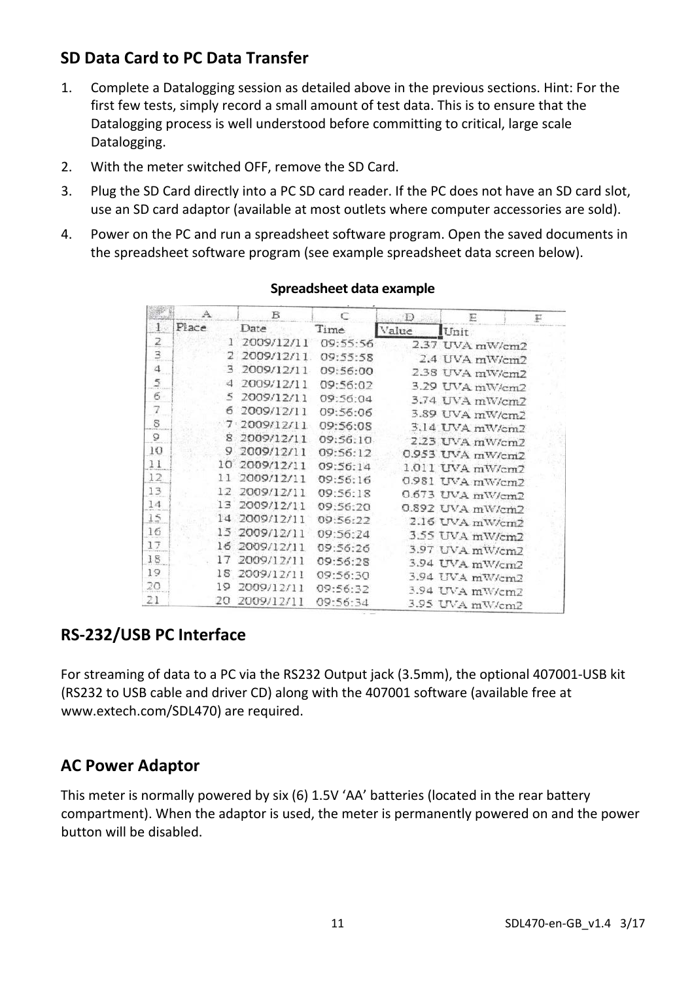## **SD Data Card to PC Data Transfer**

- 1. Complete a Datalogging session as detailed above in the previous sections. Hint: For the first few tests, simply record a small amount of test data. This is to ensure that the Datalogging process is well understood before committing to critical, large scale Datalogging.
- 2. With the meter switched OFF, remove the SD Card.
- 3. Plug the SD Card directly into a PC SD card reader. If the PC does not have an SD card slot, use an SD card adaptor (available at most outlets where computer accessories are sold).
- 4. Power on the PC and run a spreadsheet software program. Open the saved documents in the spreadsheet software program (see example spreadsheet data screen below).

|                | А               | в                |           | D     | 巨                | F |
|----------------|-----------------|------------------|-----------|-------|------------------|---|
| $\mathbf{1}$   | Place.          | Date             | Time      | Value | Unit             |   |
| $\overline{2}$ |                 | 2009/12/11<br>1. | 09:55:56  |       | 2.37 UVA mW/cm2  |   |
| Э              |                 | 2 2009/12/11     | 09:55:58  |       | 2.4 UVA mWcm2    |   |
| $\mathbb{Z}^2$ | з               | 2009/12/11       | 09:56:00  |       | 2.38 UVA mW/cm2  |   |
| $\overline{z}$ | $\triangleleft$ | 2009/12/11       | 09:56:02  |       | 3.29 UVA mW/cm2  |   |
| 6              | 5               | 2009/12/11       | 09:56:04  |       | 3.74 UVA mW/cm2  |   |
| $\overline{7}$ | б               | 2009/12/11       | 09:56:06  |       | 3.89 UVA mW/cm2  |   |
| S              |                 | 7.2009/12/11     | 09:56:08  |       | 3.14 UVA mW/cm2  |   |
| ð              | 8               | 2009/12/11       | 09:56:10. |       | 2.23 UVA mW/cm2  |   |
| 10             | 9               | 2009/12/11       | 09:56:12  |       | 0.953 UVA mW/cm2 |   |
| 11             |                 | 10 2009/12/11    | 09:56:14  |       | 1.011 UVA mW/cm2 |   |
| 12             | 11              | 2009/12/11       | 09:56:16  |       | 0.981 UVA mW/cm2 |   |
| 13             | 12              | 2009/12/11       | 09:56:18  |       | 0.673 UVA mW/cm2 |   |
| 14             | 13              | 2009/12/11       | 09:56:20  |       | 0.892 UVA mW/cm2 |   |
| 15             | 14              | 2009/12/11       | 09:56:22  |       | 2.16 UVA mW/cm2  |   |
| 16             | 15              | 2009/12/11       | 09:56:24  |       | 3.55 UVA mW/cm2  |   |
| 17             | $15 -$          | 2009/12/11       | 09:56:26  |       | 3.97 UVA mW/cm2  |   |
| 18             | 17              | 2009/12/11       | 09:56:28  |       | 3.94 UVA mW/cm2  |   |
| 19             | 18              | 2009/12/11       | 09:56:30  |       | 3.94 UVA mW/cm2  |   |
| 20             | 19              | 2009/12/11       | 09:56:32  |       | 3.94 UVA mW/cm2  |   |
| 21             | 20              | 2009/12/11       | 09:56:34  |       | 3.95 UVA mW/cm2  |   |

#### **Spreadsheet data example**

### **RS-232/USB PC Interface**

For streaming of data to a PC via the RS232 Output jack (3.5mm), the optional 407001-USB kit (RS232 to USB cable and driver CD) along with the 407001 software (available free at www.extech.com/SDL470) are required.

#### **AC Power Adaptor**

This meter is normally powered by six (6) 1.5V 'AA' batteries (located in the rear battery compartment). When the adaptor is used, the meter is permanently powered on and the power button will be disabled.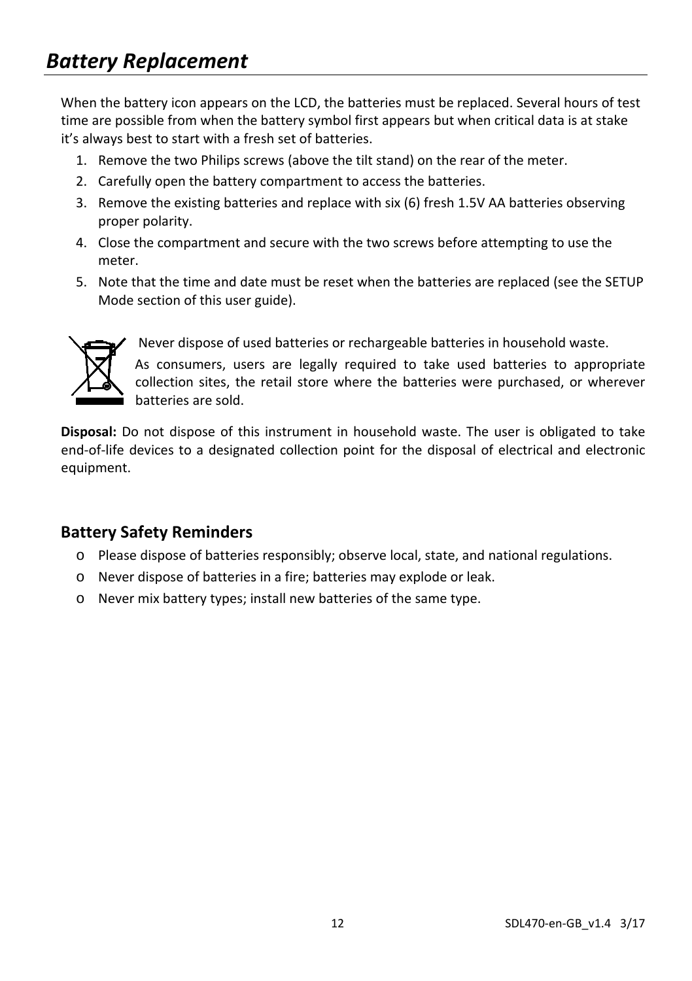When the battery icon appears on the LCD, the batteries must be replaced. Several hours of test time are possible from when the battery symbol first appears but when critical data is at stake it's always best to start with a fresh set of batteries.

- 1. Remove the two Philips screws (above the tilt stand) on the rear of the meter.
- 2. Carefully open the battery compartment to access the batteries.
- 3. Remove the existing batteries and replace with six (6) fresh 1.5V AA batteries observing proper polarity.
- 4. Close the compartment and secure with the two screws before attempting to use the meter.
- 5. Note that the time and date must be reset when the batteries are replaced (see the SETUP Mode section of this user guide).



Never dispose of used batteries or rechargeable batteries in household waste.

As consumers, users are legally required to take used batteries to appropriate collection sites, the retail store where the batteries were purchased, or wherever batteries are sold.

**Disposal:** Do not dispose of this instrument in household waste. The user is obligated to take end-of-life devices to a designated collection point for the disposal of electrical and electronic equipment.

#### **Battery Safety Reminders**

- o Please dispose of batteries responsibly; observe local, state, and national regulations.
- o Never dispose of batteries in a fire; batteries may explode or leak.
- o Never mix battery types; install new batteries of the same type.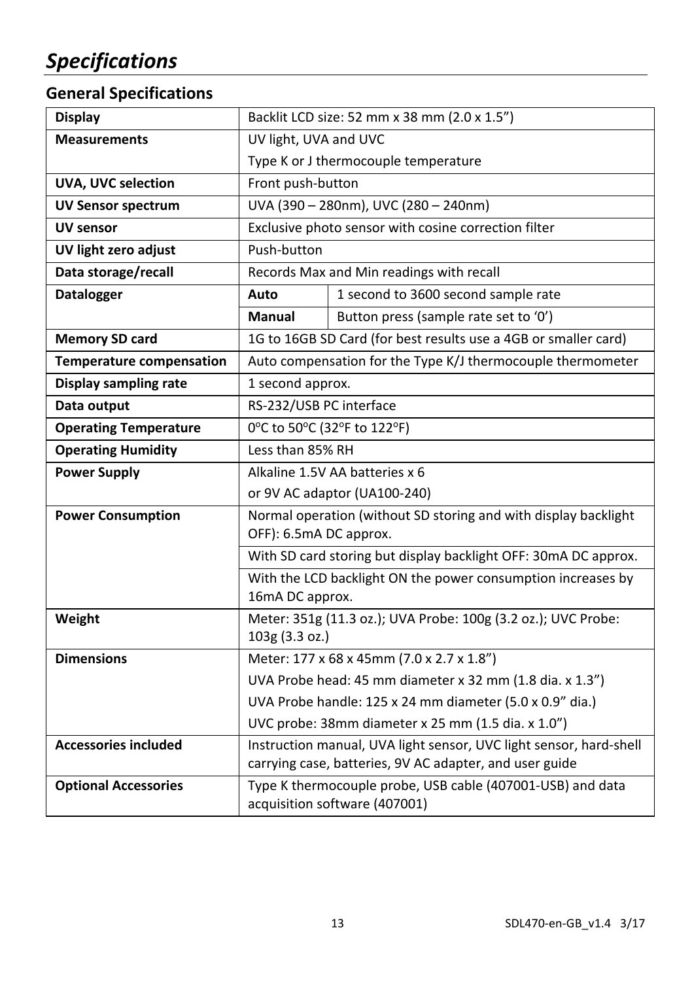## **General Specifications**

| <b>Display</b>                  | Backlit LCD size: 52 mm x 38 mm (2.0 x 1.5")                                    |                                                                                                                               |  |  |
|---------------------------------|---------------------------------------------------------------------------------|-------------------------------------------------------------------------------------------------------------------------------|--|--|
| <b>Measurements</b>             | UV light, UVA and UVC                                                           |                                                                                                                               |  |  |
|                                 | Type K or J thermocouple temperature                                            |                                                                                                                               |  |  |
| UVA, UVC selection              | Front push-button                                                               |                                                                                                                               |  |  |
| <b>UV Sensor spectrum</b>       | UVA (390 - 280nm), UVC (280 - 240nm)                                            |                                                                                                                               |  |  |
| <b>UV sensor</b>                | Exclusive photo sensor with cosine correction filter                            |                                                                                                                               |  |  |
| UV light zero adjust            | Push-button                                                                     |                                                                                                                               |  |  |
| Data storage/recall             | Records Max and Min readings with recall                                        |                                                                                                                               |  |  |
| <b>Datalogger</b>               | Auto                                                                            | 1 second to 3600 second sample rate                                                                                           |  |  |
|                                 | Manual                                                                          | Button press (sample rate set to '0')                                                                                         |  |  |
| <b>Memory SD card</b>           | 1G to 16GB SD Card (for best results use a 4GB or smaller card)                 |                                                                                                                               |  |  |
| <b>Temperature compensation</b> | Auto compensation for the Type K/J thermocouple thermometer                     |                                                                                                                               |  |  |
| Display sampling rate           | 1 second approx.                                                                |                                                                                                                               |  |  |
| Data output                     | RS-232/USB PC interface                                                         |                                                                                                                               |  |  |
| <b>Operating Temperature</b>    | 0°C to 50°C (32°F to 122°F)                                                     |                                                                                                                               |  |  |
| <b>Operating Humidity</b>       | Less than 85% RH                                                                |                                                                                                                               |  |  |
| <b>Power Supply</b>             | Alkaline 1.5V AA batteries x 6                                                  |                                                                                                                               |  |  |
|                                 | or 9V AC adaptor (UA100-240)                                                    |                                                                                                                               |  |  |
| <b>Power Consumption</b>        | Normal operation (without SD storing and with display backlight                 |                                                                                                                               |  |  |
|                                 | OFF): 6.5mA DC approx.                                                          |                                                                                                                               |  |  |
|                                 | With SD card storing but display backlight OFF: 30mA DC approx.                 |                                                                                                                               |  |  |
|                                 | With the LCD backlight ON the power consumption increases by<br>16mA DC approx. |                                                                                                                               |  |  |
| Weight                          | Meter: 351g (11.3 oz.); UVA Probe: 100g (3.2 oz.); UVC Probe:                   |                                                                                                                               |  |  |
|                                 | 103g (3.3 oz.)                                                                  |                                                                                                                               |  |  |
| <b>Dimensions</b>               | Meter: 177 x 68 x 45mm (7.0 x 2.7 x 1.8")                                       |                                                                                                                               |  |  |
|                                 | UVA Probe head: 45 mm diameter x 32 mm (1.8 dia. x 1.3")                        |                                                                                                                               |  |  |
|                                 | UVA Probe handle: 125 x 24 mm diameter (5.0 x 0.9" dia.)                        |                                                                                                                               |  |  |
|                                 | UVC probe: 38mm diameter x 25 mm (1.5 dia. x 1.0")                              |                                                                                                                               |  |  |
| <b>Accessories included</b>     |                                                                                 | Instruction manual, UVA light sensor, UVC light sensor, hard-shell<br>carrying case, batteries, 9V AC adapter, and user guide |  |  |
| <b>Optional Accessories</b>     |                                                                                 | Type K thermocouple probe, USB cable (407001-USB) and data<br>acquisition software (407001)                                   |  |  |